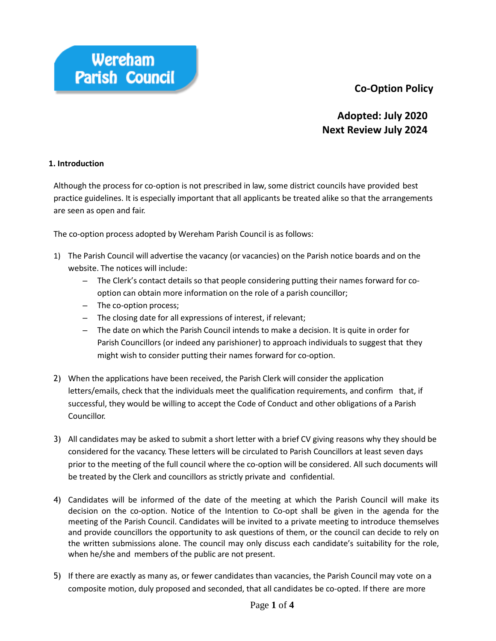# **Co-Option Policy**



# **Adopted: July 2020 Next Review July 2024**

#### **1. Introduction**

Although the process for co-option is not prescribed in law,some district councils have provided best practice guidelines. It is especially important that all applicants be treated alike so that the arrangements are seen as open and fair.

The co-option process adopted by Wereham Parish Council is as follows:

- 1) The Parish Council will advertise the vacancy (or vacancies) on the Parish notice boards and on the website. The notices will include:
	- The Clerk's contact details so that people considering putting their names forward for cooption can obtain more information on the role of a parish councillor;
	- The co-option process;
	- The closing date for all expressions of interest, if relevant;
	- The date on which the Parish Council intends to make a decision. It is quite in order for Parish Councillors (or indeed any parishioner) to approach individuals to suggest that they might wish to consider putting their names forward for co-option.
- 2) When the applications have been received, the Parish Clerk will consider the application letters/emails, check that the individuals meet the qualification requirements, and confirm that, if successful, they would be willing to accept the Code of Conduct and other obligations of a Parish Councillor.
- 3) All candidates may be asked to submit a short letter with a brief CV giving reasons why they should be considered for the vacancy. These letters will be circulated to Parish Councillors at least seven days prior to the meeting of the full council where the co-option will be considered. All such documents will be treated by the Clerk and councillors as strictly private and confidential.
- 4) Candidates will be informed of the date of the meeting at which the Parish Council will make its decision on the co-option. Notice of the Intention to Co-opt shall be given in the agenda for the meeting of the Parish Council. Candidates will be invited to a private meeting to introduce themselves and provide councillors the opportunity to ask questions of them, or the council can decide to rely on the written submissions alone. The council may only discuss each candidate's suitability for the role, when he/she and members of the public are not present.
- 5) If there are exactly as many as, or fewer candidates than vacancies, the Parish Council may vote on a composite motion, duly proposed and seconded, that all candidates be co-opted. If there are more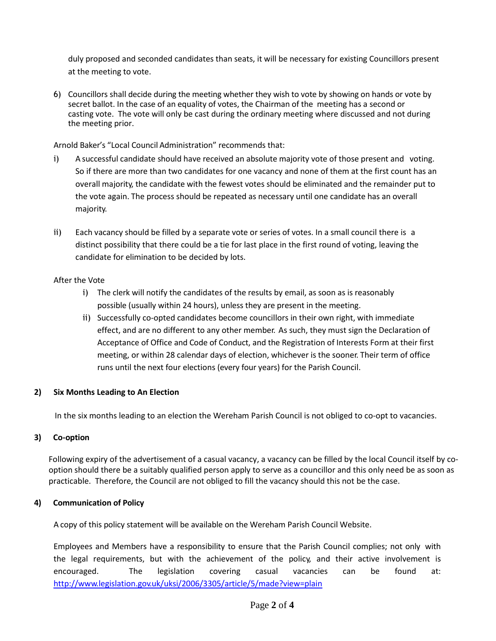duly proposed and seconded candidates than seats, it will be necessary for existing Councillors present at the meeting to vote.

6) Councillors shall decide during the meeting whether they wish to vote by showing on hands or vote by secret ballot. In the case of an equality of votes, the Chairman of the meeting has a second or casting vote. The vote will only be cast during the ordinary meeting where discussed and not during the meeting prior.

Arnold Baker's "Local Council Administration" recommends that:

- i) A successful candidate should have received an absolute majority vote of those present and voting. So if there are more than two candidates for one vacancy and none of them at the first count has an overall majority, the candidate with the fewest votes should be eliminated and the remainder put to the vote again. The process should be repeated as necessary until one candidate has an overall majority.
- ii) Each vacancy should be filled by a separate vote or series of votes. In a small council there is a distinct possibility that there could be a tie for last place in the first round of voting, leaving the candidate for elimination to be decided by lots.

## After the Vote

- i) The clerk will notify the candidates of the results by email, as soon as is reasonably possible (usually within 24 hours), unless they are present in the meeting.
- ii) Successfully co-opted candidates become councillors in their own right, with immediate effect, and are no different to any other member. As such, they must sign the Declaration of Acceptance of Office and Code of Conduct, and the Registration of Interests Form at their first meeting, or within 28 calendar days of election, whichever is the sooner. Their term of office runs until the next four elections (every four years) for the Parish Council.

# **2) Six Months Leading to An Election**

In the six months leading to an election the Wereham Parish Council is not obliged to co-opt to vacancies.

#### **3) Co-option**

Following expiry of the advertisement of a casual vacancy, a vacancy can be filled by the local Council itself by cooption should there be a suitably qualified person apply to serve as a councillor and this only need be as soon as practicable. Therefore, the Council are not obliged to fill the vacancy should this not be the case.

# **4) Communication of Policy**

A copy of this policy statement will be available on the Wereham Parish Council Website.

Employees and Members have a responsibility to ensure that the Parish Council complies; not only with the legal requirements, but with the achievement of the policy, and their active involvement is encouraged. The legislation covering casual vacancies can be found at: <http://www.legislation.gov.uk/uksi/2006/3305/article/5/made?view=plain>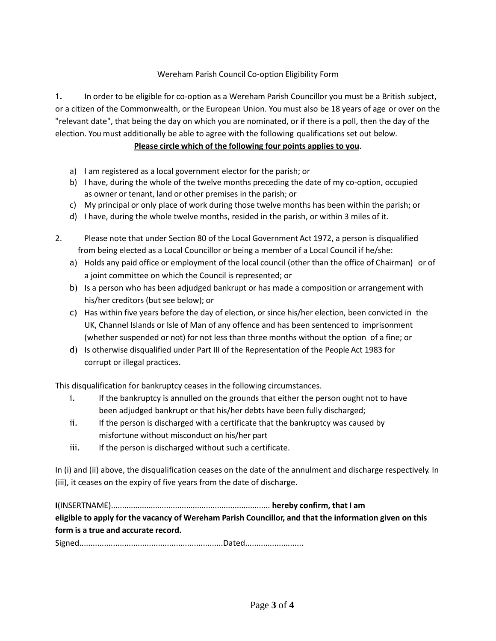## Wereham Parish Council Co-option Eligibility Form

1. In order to be eligible for co-option as a Wereham Parish Councillor you must be a British subject, or a citizen of the Commonwealth, or the European Union. Youmust also be 18 years of age or over on the "relevant date", that being the day on which you are nominated, or if there is a poll, then the day of the election. You must additionally be able to agree with the following qualifications set out below.

### **Please circle which of the following four points applies to you**.

- a) I am registered as a local government elector for the parish; or
- b) I have, during the whole of the twelve months preceding the date of my co-option, occupied as owner or tenant, land or other premises in the parish; or
- c) My principal or only place of work during those twelve months has been within the parish; or
- d) I have, during the whole twelve months, resided in the parish, or within 3 miles of it.
- 2. Please note that under Section 80 of the Local Government Act 1972, a person is disqualified from being elected as a Local Councillor or being a member of a Local Council if he/she:
	- a) Holds any paid office or employment of the local council (other than the office of Chairman) or of a joint committee on which the Council is represented; or
	- b) Is a person who has been adjudged bankrupt or has made a composition or arrangement with his/her creditors (but see below); or
	- c) Has within five years before the day of election, or since his/her election, been convicted in the UK, Channel Islands or Isle of Man of any offence and has been sentenced to imprisonment (whether suspended or not) for not less than three months without the option of a fine; or
	- d) Is otherwise disqualified under Part III of the Representation of the People Act 1983 for corrupt or illegal practices.

This disqualification for bankruptcy ceases in the following circumstances.

- i. If the bankruptcy is annulled on the grounds that either the person ought not to have been adjudged bankrupt or that his/her debts have been fully discharged;
- ii. If the person is discharged with a certificate that the bankruptcy was caused by misfortune without misconduct on his/her part
- iii. If the person is discharged without such a certificate.

In (i) and (ii) above, the disqualification ceases on the date of the annulment and discharge respectively. In (iii), it ceases on the expiry of five years from the date of discharge.

**I**(INSERTNAME)........................................................................ **hereby confirm, that I am eligible to apply for the vacancy of Wereham Parish Councillor, and that the information given on this form is a true and accurate record.**

Signed................................................................Dated..........................